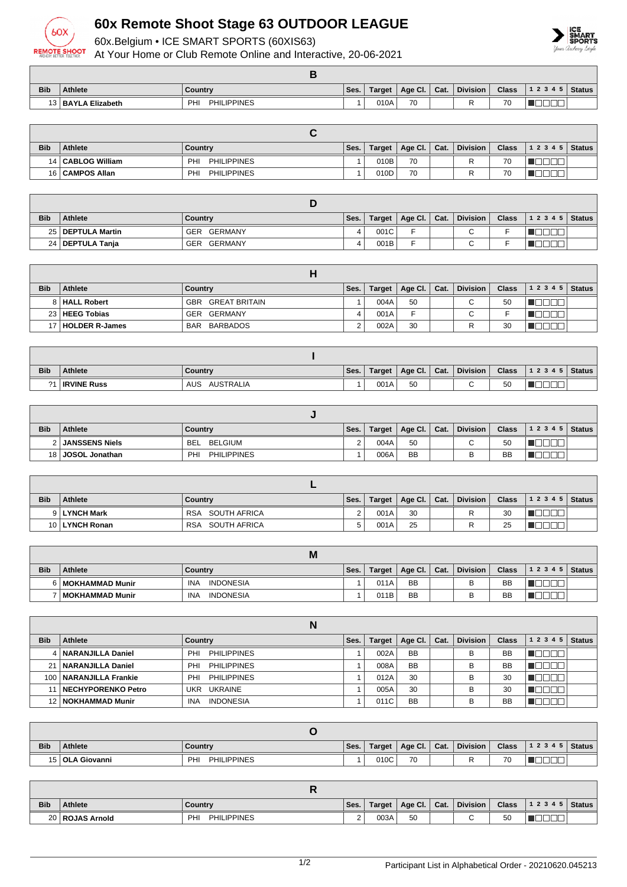

## **60x Remote Shoot Stage 63 OUTDOOR LEAGUE**

60x.Belgium • ICE SMART SPORTS (60XIS63)

At Your Home or Club Remote Online and Interactive, 20-06-2021



| <b>Bib</b> | <b>Athlete</b>     | Country                   | Ses. | Target $ $ | Age Cl. | Cat. | <b>Division</b> | <b>Class</b> | 1 2 3 4 5   Status |  |
|------------|--------------------|---------------------------|------|------------|---------|------|-----------------|--------------|--------------------|--|
|            | 13 BAYLA Elizabeth | PHI<br><b>PHILIPPINES</b> |      | 010A       | 70      |      |                 | 70           |                    |  |

| <b>Bib</b> | <b>Athlete</b>      | Country                   | Ses. | Target | Age Cl.   Cat. | <b>Division</b> | <b>Class</b> | 1 2 3 4 5   Status |  |
|------------|---------------------|---------------------------|------|--------|----------------|-----------------|--------------|--------------------|--|
|            | 14   CABLOG William | PHILIPPINES<br>PHI        |      | 010B   | 70             |                 | 70           |                    |  |
|            | 16   CAMPOS Allan   | <b>PHILIPPINES</b><br>PHI |      | 010D   | 70             |                 | 70           |                    |  |

| <b>Bib</b> | <b>Athlete</b>      | Country        | Ses. | Target | Age Cl.   Cat. | <b>Division</b> | <b>Class</b> | $ 12345 $ Status |  |
|------------|---------------------|----------------|------|--------|----------------|-----------------|--------------|------------------|--|
|            | 25   DEPTULA Martin | GERMANY<br>GER |      | 001C   |                | ⌒<br>ີ          |              |                  |  |
|            | 24   DEPTULA Tanja  | GERMANY<br>GER |      | 001B   |                | ⌒<br>ີ          |              |                  |  |

| <b>Bib</b> | Athlete             | Country                  | Ses. | Target | Age Cl. Cat. | Division | <b>Class</b> | 12345 | <b>Status</b> |
|------------|---------------------|--------------------------|------|--------|--------------|----------|--------------|-------|---------------|
|            | 8   HALL Robert     | <b>GBR GREAT BRITAIN</b> |      | 004A   | 50           | ◠        | 50           |       |               |
|            | 23   HEEG Tobias    | GER GERMANY              |      | 001A   | ►            |          |              |       |               |
|            | 17   HOLDER R-James | BARBADOS<br>BAR          |      | 002A   | 30           |          | 30           |       |               |

| <b>Bib</b> | <b>Athlete</b>     | Country                 | Ses. | Target | Age Cl. | $\vert$ Cat. | <b>Division</b> | <b>Class</b> | $12345$ Status |  |
|------------|--------------------|-------------------------|------|--------|---------|--------------|-----------------|--------------|----------------|--|
| $^{\circ}$ | <b>IRVINE Russ</b> | <b>AUSTRALIA</b><br>AUS |      | 001A   | 50      |              |                 | 50           | $- - -$        |  |

| <b>Bib</b> | Athlete               | Country                   | `Ses. . | Target | Age Cl.   | $\vert$ Cat. | <b>Division</b>          | Class     | $12345$ Status |  |
|------------|-----------------------|---------------------------|---------|--------|-----------|--------------|--------------------------|-----------|----------------|--|
|            | <b>JANSSENS Niels</b> | <b>BEL</b><br>BELGIUM     | ⌒       | 004A   | 50        |              | $\overline{\phantom{0}}$ | 50        |                |  |
| 18 I J     | ⊦JOSOL Jonathan       | <b>PHILIPPINES</b><br>PHI |         | 006A   | <b>BB</b> |              |                          | <b>BB</b> |                |  |

| <b>Bib</b> | Athlete        | Country                    | Ses. | Target | Age Cl.   Cat. | <b>Division</b> | <b>Class</b> | $12345$ Status |  |
|------------|----------------|----------------------------|------|--------|----------------|-----------------|--------------|----------------|--|
|            | 9 LYNCH Mark   | SOUTH AFRICA<br><b>RSA</b> |      | 001A   | 30             |                 | 30           |                |  |
|            | 10 LYNCH Ronan | SOUTH AFRICA<br><b>RSA</b> |      | 001A   | 25             |                 | 25           |                |  |

|            |                     | <b>IVI</b>                     |      |        |           |      |                 |       |       |        |
|------------|---------------------|--------------------------------|------|--------|-----------|------|-----------------|-------|-------|--------|
| <b>Bib</b> | <b>Athlete</b>      | Country                        | Ses. | Target | Age Cl.   | Cat. | <b>Division</b> | Class | 12345 | Status |
|            | 6   MOKHAMMAD Munir | <b>INDONESIA</b><br>INA        |      | 011A   | <b>BB</b> |      |                 | BB    |       |        |
|            | ′   MOKHAMMAD Munir | <b>INDONESIA</b><br><b>INA</b> |      | 011B   | <b>BB</b> |      |                 | BB    |       |        |

|            |                           | N                              |      |               |           |      |                 |              |           |               |
|------------|---------------------------|--------------------------------|------|---------------|-----------|------|-----------------|--------------|-----------|---------------|
| <b>Bib</b> | Athlete                   | Country                        | Ses. | <b>Target</b> | Age Cl.   | Cat. | <b>Division</b> | <b>Class</b> | 1 2 3 4 5 | <b>Status</b> |
|            | 4   NARANJILLA Daniel     | <b>PHILIPPINES</b><br>PHI      |      | 002A          | <b>BB</b> |      | в               | <b>BB</b>    |           |               |
| 21         | NARANJILLA Daniel         | <b>PHILIPPINES</b><br>PHI      |      | 008A          | <b>BB</b> |      | в               | <b>BB</b>    |           |               |
| 100        | NARANJILLA Frankie        | <b>PHILIPPINES</b><br>PHI      |      | 012A          | 30        |      | в               | 30           |           |               |
|            | <b>NECHYPORENKO Petro</b> | <b>UKRAINE</b><br>UKR          |      | 005A          | 30        |      | в               | 30           |           |               |
|            | 12 NOKHAMMAD Munir        | <b>INDONESIA</b><br><b>INA</b> |      | 011C          | <b>BB</b> |      |                 | <b>BB</b>    |           |               |

| <b>Bib</b> | <b>Athlete</b>    | Country                          | Ses. | Target | Age Cl. $\vert$ Cat. | <b>Division</b> | <b>Class</b> | 1 2 3 4 5   Status |  |
|------------|-------------------|----------------------------------|------|--------|----------------------|-----------------|--------------|--------------------|--|
|            | 15   OLA Giovanni | <b>PHILIPPINES</b><br><b>PHI</b> |      | 010C   | 70                   |                 | 70           |                    |  |

| <b>Bib</b> | <b>Athlete</b>    | Country                   | Ses.   | Target | Age Cl. $\vert$ Cat. | <b>Division</b> | <b>Class</b> | $ 12345 $ Status |  |
|------------|-------------------|---------------------------|--------|--------|----------------------|-----------------|--------------|------------------|--|
|            | 20   ROJAS Arnold | <b>PHILIPPINES</b><br>PHI | $\sim$ | 003A   | 50                   |                 | 50           |                  |  |